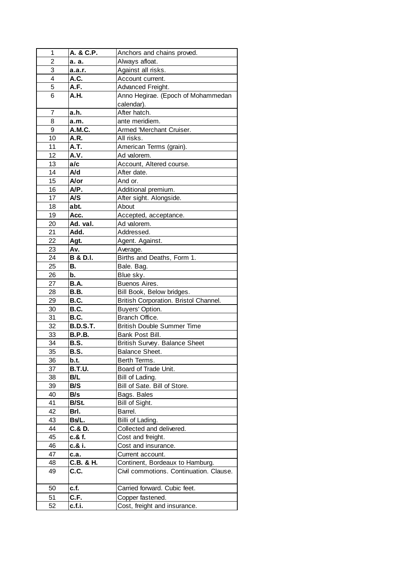| 1  | A. & C.P.           | Anchors and chains proved.              |
|----|---------------------|-----------------------------------------|
| 2  | а. а.               | Always afloat.                          |
| 3  | a.a.r.              | Against all risks.                      |
| 4  | A.C.                | Account current.                        |
| 5  | A.F.                | Advanced Freight.                       |
| 6  | A.H.                | Anno Hegirae. (Epoch of Mohammedan      |
|    |                     | calendar).                              |
| 7  | a.h.                | After hatch.                            |
| 8  | a.m.                | ante meridiem.                          |
| 9  | A.M.C.              | Armed 'Merchant Cruiser.                |
| 10 | A.R.                | All risks.                              |
| 11 | A.T.                | American Terms (grain).                 |
| 12 | A.V.                | Ad valorem.                             |
| 13 | a/c                 | Account, Altered course.                |
| 14 | A/d                 | After date.                             |
| 15 | A/or                | And or.                                 |
| 16 | A/P.                | Additional premium.                     |
| 17 | A/S                 | After sight. Alongside.                 |
| 18 | abt.                | About                                   |
| 19 | Acc.                | Accepted, acceptance.                   |
| 20 | Ad. val.            | Ad valorem.                             |
| 21 | Add.                | Addressed.                              |
| 22 | Agt.                | Agent. Against.                         |
| 23 | Av.                 | Average.                                |
| 24 | <b>B &amp; D.I.</b> | Births and Deaths, Form 1.              |
| 25 | В.                  | Bale. Bag.                              |
| 26 | b.                  | Blue sky.                               |
| 27 | <b>B.A.</b>         | Buenos Aires.                           |
| 28 | <b>B.B.</b>         | Bill Book, Below bridges.               |
| 29 | B.C.                | British Corporation. Bristol Channel.   |
| 30 | <b>B.C.</b>         | Buyers' Option.                         |
| 31 | B.C.                | Branch Office.                          |
| 32 | <b>B.D.S.T.</b>     | <b>British Double Summer Time</b>       |
| 33 | <b>B.P.B.</b>       | Bank Post Bill.                         |
| 34 | <b>B.S.</b>         | British Survey. Balance Sheet           |
| 35 | B.S.                | Balance Sheet.                          |
| 36 | b.t.                | Berth Terms.                            |
| 37 | <b>B.T.U.</b>       | Board of Trade Unit.                    |
| 38 | B/L                 | Bill of Lading.                         |
| 39 | B/S                 | Bill of Sate. Bill of Store.            |
| 40 | B/s                 | Bags. Bales                             |
| 41 | B/St.               | Bill of Sight.                          |
| 42 | Brl.                | Barrel.                                 |
| 43 | Bs/L.               | Billi of Lading.                        |
| 44 | C.& D.              | Collected and delivered.                |
| 45 | c.& f.              | Cost and freight.                       |
| 46 | c.& i.              | Cost and insurance.                     |
| 47 | c.a.                | Current account.                        |
| 48 | C.B. & H.           | Continent, Bordeaux to Hamburg.         |
| 49 | C.C.                | Civil commotions. Continuation. Clause. |
| 50 | c.f.                | Carried forward. Cubic feet.            |
| 51 | C.F.                | Copper fastened.                        |
| 52 | c.f.i.              | Cost, freight and insurance.            |
|    |                     |                                         |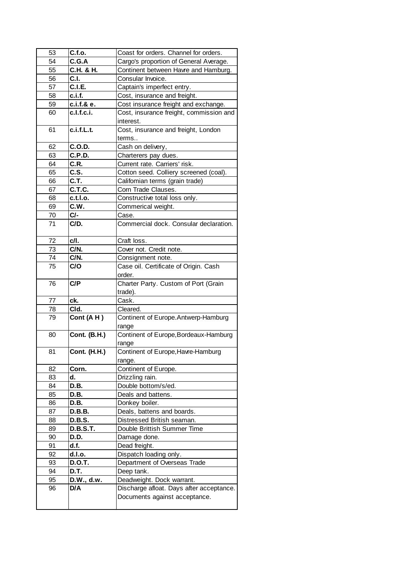| 53 | C.f.o.              | Coast for orders. Channel for orders.          |
|----|---------------------|------------------------------------------------|
| 54 | C.G.A               | Cargo's proportion of General Average.         |
| 55 | C.H. & H.           | Continent between Havre and Hamburg.           |
| 56 | C.I.                | Consular Invoice.                              |
| 57 | <b>C.I.E.</b>       | Captain's imperfect entry.                     |
| 58 | c.i.f.              | Cost, insurance and freight.                   |
| 59 | c.i.f.& e.          | Cost insurance freight and exchange.           |
| 60 | c.l.f.c.i.          | Cost, insurance freight, commission and        |
|    |                     | interest.                                      |
| 61 | c.i.f.L.t.          | Cost, insurance and freight, London            |
|    |                     | terms                                          |
| 62 | C.O.D.              | Cash on delivery,                              |
| 63 | <b>C.P.D.</b>       | Charterers pay dues.                           |
| 64 | C.R.                | Current rate. Carriers' risk.                  |
| 65 | C.S.                | Cotton seed. Colliery screened (coal).         |
| 66 | C.T.                | Califomian terms (grain trade)                 |
| 67 | C.T.C.              | Corn Trade Clauses.                            |
| 68 | c.t.l.o.            | Constructive total loss only.                  |
| 69 | C.W.                | Commerical weight.                             |
| 70 | C/-                 | Case.                                          |
| 71 | C/D.                | Commercial dock. Consular declaration.         |
| 72 | c/l.                | Craft loss.                                    |
| 73 | C/N.                | Cover not. Credit note.                        |
| 74 | C/N.                | Consignment note.                              |
| 75 | C/O                 | Case oil. Certificate of Origin. Cash          |
|    |                     | order.                                         |
| 76 | C/P                 | Charter Party. Custom of Port (Grain           |
|    |                     | trade).                                        |
| 77 | ck.                 | Cask.                                          |
| 78 | Cld.                | Cleared.                                       |
| 79 | Cont (AH)           | Continent of Europe.Antwerp-Hamburg            |
| 80 | <b>Cont. (B.H.)</b> | range<br>Continent of Europe, Bordeaux-Hamburg |
|    |                     | range                                          |
| 81 | <b>Cont. (H.H.)</b> | Continent of Europe, Havre-Hamburg             |
|    |                     | range.                                         |
| 82 | Corn.               | Continent of Europe.                           |
| 83 | d.                  | Drizzling rain.                                |
| 84 | D.B.                | Double bottom/s/ed.                            |
| 85 | D.B.                | Deals and battens.                             |
| 86 | D.B.                | Donkey boiler.                                 |
| 87 | <b>D.B.B.</b>       | Deals, battens and boards.                     |
| 88 | <b>D.B.S.</b>       | Distressed British seaman.                     |
| 89 | <b>D.B.S.T.</b>     | Double Brittish Summer Time                    |
| 90 | D.D.                | Damage done.                                   |
| 91 | d.f.                | Dead freight.                                  |
| 92 | d.l.o.              | Dispatch loading only.                         |
| 93 | <b>D.O.T.</b>       | Department of Overseas Trade                   |
| 94 | D.T.                | Deep tank.                                     |
| 95 | D.W., d.w.          | Deadweight. Dock warrant.                      |
| 96 | D/A                 | Discharge afloat. Days after acceptance.       |
|    |                     | Documents against acceptance.                  |
|    |                     |                                                |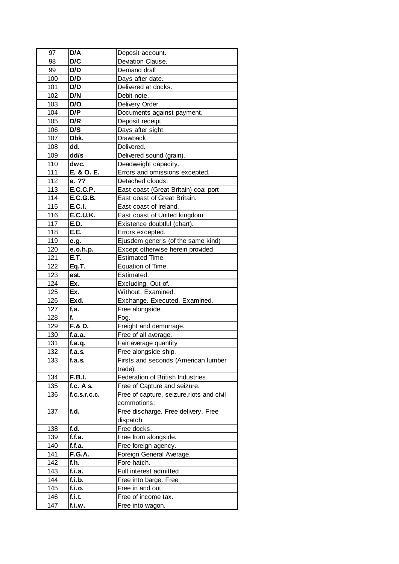| 97  | D/A              | Deposit account.                          |
|-----|------------------|-------------------------------------------|
| 98  | D/C              | Deviation Clause.                         |
| 99  | D/D              | Demand draft                              |
| 100 | D/D              | Days after date.                          |
| 101 | D/D              | Delivered at docks.                       |
| 102 | D/N              | Debit note.                               |
| 103 | D/O              | Delivery Order.                           |
| 104 | D/P              | Documents against payment.                |
| 105 | D/R              | Deposit receipt                           |
| 106 | D/S              | Days after sight.                         |
| 107 | Dbk.             | Drawback.                                 |
| 108 | dd.              | Delivered.                                |
| 109 | dd/s             | Delivered sound (grain).                  |
| 110 | dwc.             | Deadweight capacity.                      |
| 111 | E. & O. E.       | Errors and omissions excepted.            |
| 112 | e. ??            | Detached clouds.                          |
| 113 | <b>E.C.C.P.</b>  | East coast (Great Britain) coal port      |
| 114 | <b>E.C.G.B.</b>  | East coast of Great Britain.              |
| 115 | <b>E.C.I.</b>    | East coast of Ireland.                    |
| 116 | <b>E.C.U.K.</b>  | East coast of United kingdom              |
| 117 | E.D.             | Existence doubtful (chart).               |
| 118 | E.E.             | Errors excepted.                          |
| 119 | e.g.             | Ejusdem generis (of the same kind)        |
| 120 |                  | Except otherwise herein provided          |
| 121 | e.o.h.p.<br>E.T. | <b>Estimated Time.</b>                    |
|     |                  |                                           |
| 122 | Eq.T.            | Equation of Time.                         |
| 123 | est.             | Estimated.                                |
| 124 | Ex.              | Excluding. Out of.                        |
| 125 | Ex.              | Without. Examined.                        |
| 126 | Exd.             | Exchange. Executed. Examined.             |
| 127 | f,a.             | Free alongside.                           |
| 128 | f.               | Fog.                                      |
| 129 | F.& D.           | Freight and demurrage.                    |
| 130 | f.a.a.           | Free of all average.                      |
| 131 | f.a.q.           | Fair average quantity                     |
| 132 | f.a.s.           | Free alongside ship.                      |
| 133 | f.a.S.           | Firsts and seconds (American lumber       |
|     |                  | trade).                                   |
| 134 | <b>F.B.I.</b>    | Federation of British Industries          |
| 135 | f.c. $A$ s.      | Free of Capture and seizure.              |
| 136 | f.c.s.r.c.c.     | Free of capture, seizure, riots and civil |
|     |                  | commotions.                               |
| 137 | f.d.             | Free discharge. Free delivery. Free       |
|     |                  | dispatch.                                 |
| 138 | f.d.             | Free docks.                               |
| 139 | f.f.a.           | Free from alongside.                      |
| 140 | f.f.a.           | Free foreign agency.                      |
| 141 | <b>F.G.A.</b>    | Foreign General Average.                  |
| 142 | f.h.             | Fore hatch.                               |
| 143 | f.i.a.           | Full interest admitted                    |
| 144 | f.i.b.           | Free into barge. Free                     |
| 145 | f.i.o.           | Free in and out.                          |
| 146 | f.i.t.           | Free of income tax.                       |
| 147 | f.i.w.           | Free into wagon.                          |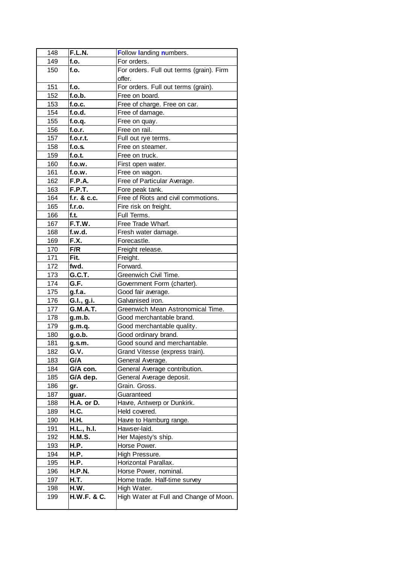| 148 | F.L.N.          | Follow landing numbers.                  |
|-----|-----------------|------------------------------------------|
| 149 | f.o.            | For orders.                              |
| 150 | f.o.            | For orders. Full out terms (grain). Firm |
|     |                 | offer.                                   |
| 151 | f.o.            | For orders. Full out terms (grain).      |
| 152 | f.o.b.          | Free on board.                           |
| 153 | f.o.c.          | Free of charge. Free on car.             |
| 154 | f.o.d.          | Free of damage.                          |
| 155 | f.o.q.          | Free on quay.                            |
| 156 | f.o.r.          | Free on rail.                            |
| 157 | f.o.r.t.        | Full out rye terms.                      |
| 158 | f.o.s.          | Free on steamer.                         |
| 159 | f.o.t.          | Free on truck.                           |
| 160 | f.o.w.          | First open water.                        |
| 161 | f.o.w.          | Free on wagon.                           |
| 162 | <b>F.P.A.</b>   | Free of Particular Average.              |
| 163 | F.P.T.          | Fore peak tank.                          |
| 164 | f.r. $&c.c.$    | Free of Riots and civil commotions.      |
| 165 | f.r.o.          | Fire risk on freight.                    |
| 166 | f.t.            | Full Terms.                              |
| 167 | F.T.W.          | Free Trade Wharf.                        |
| 168 | f.w.d.          | Fresh water damage.                      |
| 169 | F.X.            | Forecastle.                              |
| 170 | F/R             | Freight release.                         |
| 171 | Fit.            | Freight.                                 |
| 172 | fwd.            | Forward.                                 |
| 173 | G.C.T.          | Greenwich Civil Time.                    |
| 174 | G.F.            | Government Form (charter).               |
| 175 | g.f.a.          | Good fair average.                       |
| 176 | G.I., g.i.      | Galvanised iron.                         |
| 177 | <b>G.M.A.T.</b> | Greenwich Mean Astronomical Time.        |
| 178 | g.m.b.          | Good merchantable brand.                 |
| 179 | g.m.q.          | Good merchantable quality.               |
| 180 | g.o.b.          | Good ordinary brand.                     |
| 181 | g.s.m.          | Good sound and merchantable.             |
| 182 | G.V.            | Grand Vitesse (express train).           |
| 183 | G/A             | General Average.                         |
| 184 | G/A con.        | General Average contribution.            |
| 185 | G/A dep.        | General Average deposit.                 |
| 186 | gr.             | Grain. Gross.                            |
| 187 | guar.           | Guaranteed                               |
| 188 | H.A. or D.      | Havre, Antwerp or Dunkirk.               |
| 189 | H.C.            | Held covered.                            |
| 190 | H.H.            | Havre to Hamburg range.                  |
| 191 | H.L., h.l.      | Hawser-laid.                             |
| 192 | <b>H.M.S.</b>   | Her Majesty's ship.                      |
| 193 | H.P.            | Horse Power.                             |
| 194 | H.P.            | High Pressure.                           |
| 195 | H.P.            | Horizontal Parallax.                     |
| 196 | <b>H.P.N.</b>   | Horse Power, nominal.                    |
| 197 | H.T.            | Home trade. Half-time survey             |
| 198 | H.W.            | High Water.                              |
| 199 | H.W.F. & C.     | High Water at Full and Change of Moon.   |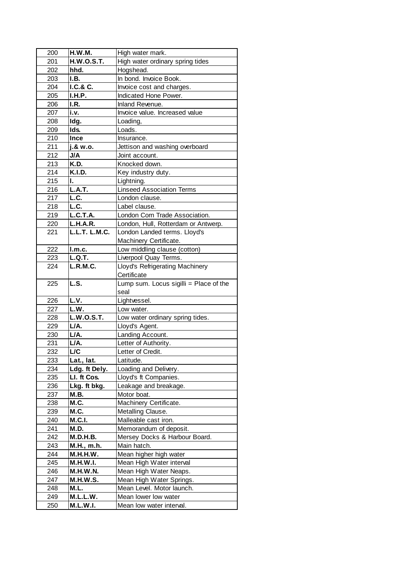| 200 | <b>H.W.M.</b>        | High water mark.                       |
|-----|----------------------|----------------------------------------|
| 201 | <b>H.W.O.S.T.</b>    | High water ordinary spring tides       |
| 202 | hhd.                 | Hogshead.                              |
| 203 | I.B.                 | In bond. Invoice Book.                 |
| 204 | I.C.& C.             | Invoice cost and charges.              |
| 205 | <b>I.H.P.</b>        | Indicated Hone Power.                  |
| 206 | I.R.                 | Inland Revenue.                        |
| 207 | i.v.                 | Invoice value. Increased value         |
| 208 | Idg.                 | Loading,                               |
| 209 | Ids.                 | Loads.                                 |
| 210 | <b>Ince</b>          | Insurance.                             |
| 211 | j.& w.o.             | Jettison and washing overboard         |
| 212 | <b>J/A</b>           | Joint account.                         |
| 213 | K.D.                 | Knocked down.                          |
| 214 | <b>K.I.D.</b>        | Key industry duty.                     |
| 215 | L.                   | Lightning.                             |
| 216 | L.A.T.               | <b>Linseed Association Terms</b>       |
| 217 | L.C.                 | London clause.                         |
| 218 | L.C.                 | Label clause.                          |
| 219 | L.C.T.A.             | London Corn Trade Association.         |
| 220 | <b>L.H.A.R.</b>      | London, Hull, Rotterdam or Antwerp.    |
| 221 | <b>L.L.T. L.M.C.</b> | London Landed terms. Lloyd's           |
|     |                      | Machinery Certificate.                 |
| 222 | l.m.c.               | Low middling clause (cotton)           |
| 223 | L.Q.T.               | Liverpool Quay Terms.                  |
| 224 | <b>L.R.M.C.</b>      | Lloyd's Refrigerating Machinery        |
|     |                      | Certificate                            |
| 225 | L.S.                 | Lump sum. Locus sigilli = Place of the |
|     |                      | seal                                   |
| 226 | L.V.                 | Lightvessel.                           |
| 227 | L.W.                 | Low water.                             |
| 228 | <b>L.W.O.S.T.</b>    | Low water ordinary spring tides.       |
| 229 | L/A.                 | Lloyd's Agent.                         |
| 230 | L/A.                 | Landing Account.                       |
| 231 | L/A.                 | Letter of Authority.                   |
| 232 | L/C                  | Letter of Credit.                      |
| 233 | Lat., lat.           | Latitude.                              |
| 234 | Ldg. ft Dely.        | Loading and Delivery.                  |
| 235 | LI. ft Cos.          | Lloyd's ft Companies.                  |
| 236 | Lkg. ft bkg.         | Leakage and breakage.                  |
| 237 | M.B.                 | Motor boat.                            |
| 238 | M.C.                 | Machinery Certificate.                 |
| 239 | M.C.                 | Metalling Clause.                      |
| 240 | <b>M.C.I.</b>        | Malleable cast iron.                   |
| 241 | M.D.                 | Memorandum of deposit.                 |
| 242 | <b>M.D.H.B.</b>      | Mersey Docks & Harbour Board.          |
| 243 | M.H., m.h.           | Main hatch.                            |
| 244 | M.H.H.W.             | Mean higher high water                 |
| 245 | <b>M.H.W.I.</b>      | Mean High Water interval               |
| 246 | <b>M.H.W.N.</b>      | Mean High Water Neaps.                 |
| 247 | M.H.W.S.             | Mean High Water Springs.               |
| 248 | M.L.                 | Mean Level. Motor launch.              |
| 249 | M.L.L.W.             | Mean lower low water                   |
| 250 | <b>M.L.W.I.</b>      | Mean low water interval.               |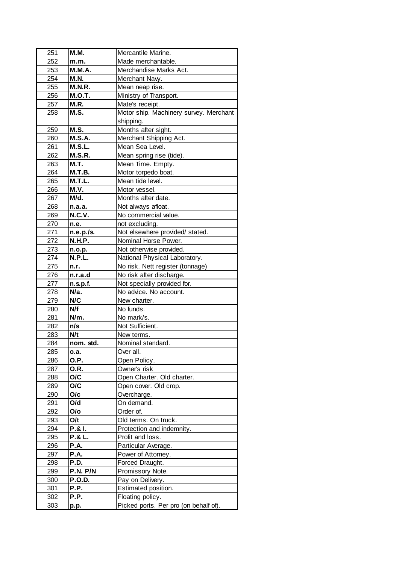| 251 | <b>M.M.</b>     | Mercantile Marine.                     |
|-----|-----------------|----------------------------------------|
| 252 | m.m.            | Made merchantable.                     |
| 253 | <b>M.M.A.</b>   | Merchandise Marks Act.                 |
| 254 | <b>M.N.</b>     | Merchant Navy.                         |
| 255 | <b>M.N.R.</b>   | Mean neap rise.                        |
| 256 | <b>M.O.T.</b>   | Ministry of Transport.                 |
| 257 | M.R.            | Mate's receipt.                        |
| 258 | M.S.            | Motor ship. Machinery survey. Merchant |
|     |                 | shipping.                              |
| 259 | M.S.            | Months after sight.                    |
| 260 | <b>M.S.A.</b>   | Merchant Shipping Act.                 |
| 261 | M.S.L.          | Mean Sea Level.                        |
| 262 | <b>M.S.R.</b>   | Mean spring rise (tide).               |
| 263 | <b>M.T.</b>     | Mean Time. Empty.                      |
| 264 | <b>M.T.B.</b>   | Motor torpedo boat.                    |
| 265 | M.T.L.          | Mean tide level.                       |
| 266 | M.V.            | Motor vessel.                          |
| 267 | M/d.            | Months after date.                     |
| 268 | n.a.a.          | Not always afloat.                     |
| 269 | <b>N.C.V.</b>   | No commercial value.                   |
| 270 | n.e.            | not excluding.                         |
| 271 | n.e.p./s.       | Not elsewhere provided/ stated.        |
| 272 | <b>N.H.P.</b>   | Nominal Horse Power.                   |
| 273 | n.o.p.          | Not otherwise provided.                |
| 274 | <b>N.P.L.</b>   | National Physical Laboratory.          |
| 275 | n.r.            | No risk. Nett register (tonnage)       |
| 276 | n.r.a.d         | No risk after discharge.               |
| 277 | n.s.p.f.        | Not specially provided for.            |
| 278 | N/a.            | No advice. No account.                 |
| 279 | N/C             | New charter.                           |
| 280 | N/f             | No funds.                              |
| 281 | N/m.            | No mark/s.                             |
| 282 | n/s             | Not Sufficient.                        |
| 283 | N/t             | New terms.                             |
| 284 |                 | Nominal standard.                      |
|     | nom. std.       |                                        |
| 285 | o.a.            | Over all.                              |
| 286 | O.P.            | Open Policy.                           |
| 287 | O.R.            | Owner's risk                           |
| 288 | O/C<br>O/C      | Open Charter. Old charter.             |
| 289 |                 | Open cover. Old crop.                  |
| 290 | O/c<br>O/d      | Overcharge.<br>On demand.              |
| 291 |                 |                                        |
| 292 | O/o             | Order of.<br>Old terms. On truck.      |
| 293 | O/t             |                                        |
| 294 | P.& I.          | Protection and indemnity.              |
| 295 | P.& L.          | Profit and loss.                       |
| 296 | P.A.            | Particular Average.                    |
| 297 | P.A.            | Power of Attorney.                     |
| 298 | P.D.            | Forced Draught.                        |
| 299 | <b>P.N. P/N</b> | Promissory Note.                       |
| 300 | <b>P.O.D.</b>   | Pay on Delivery.                       |
| 301 | P.P.            | Estimated position.                    |
| 302 | P.P.            | Floating policy.                       |
| 303 | p.p.            | Picked ports. Per pro (on behalf of).  |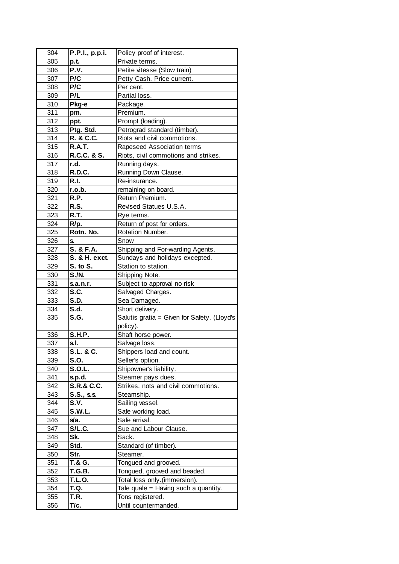| 304 | P.P.I., p.p.i.        | Policy proof of interest.                   |
|-----|-----------------------|---------------------------------------------|
| 305 | p.t.                  | Private terms.                              |
| 306 | P.V.                  | Petite vitesse (Slow train)                 |
| 307 | P/C                   | Petty Cash. Price current.                  |
| 308 | P/C                   | Per cent.                                   |
| 309 | P/L                   | Partial loss.                               |
| 310 | Pkg-e                 | Package.                                    |
| 311 | pm.                   | Premium.                                    |
| 312 | ppt.                  | Prompt (loading).                           |
| 313 | Ptg. Std.             | Petrograd standard (timber).                |
| 314 | R. & C.C.             | Riots and civil commotions.                 |
| 315 | <b>R.A.T.</b>         | Rapeseed Association terms                  |
| 316 | R.C.C. & S.           | Riots, civil commotions and strikes.        |
| 317 | r.d.                  | Running days.                               |
| 318 | R.D.C.                | Running Down Clause.                        |
| 319 | R.I.                  | Re-insurance.                               |
| 320 | r.o.b.                | remaining on board.                         |
| 321 | R.P.                  | Return Premium.                             |
| 322 | R.S.                  | Revised Statues U.S.A.                      |
| 323 | R.T.                  | Rye terms.                                  |
|     |                       |                                             |
| 324 | R/p.                  | Return of post for orders.                  |
| 325 | Rotn. No.             | Rotation Number.                            |
| 326 | S.                    | Snow                                        |
| 327 | S. & F.A.             | Shipping and For-warding Agents.            |
| 328 | S. & H. exct.         | Sundays and holidays excepted.              |
| 329 | S. to S.              | Station to station.                         |
| 330 | <b>S./N.</b>          | Shipping Note.                              |
| 331 | s.a.n.r.              | Subject to approval no risk                 |
| 332 | S.C.                  | Salvaged Charges.                           |
| 333 | <b>S.D.</b>           | Sea Damaged.                                |
| 334 | S.d.                  | Short delivery.                             |
| 335 | S.G.                  | Salutis gratia = Given for Safety. (Lloyd's |
|     |                       | policy).                                    |
| 336 | <b>S.H.P.</b>         | Shaft horse power.                          |
| 337 | s.l.                  | Salvage loss.                               |
| 338 | S.L. & C.             | Shippers load and count.                    |
| 339 | S.O.                  | Seller's option.                            |
| 340 | <b>S.O.L.</b>         | Shipowner's liability.                      |
| 341 | s.p.d.                | Steamer pays dues.                          |
| 342 | <b>S.R.&amp; C.C.</b> | Strikes, nots and civil commotions.         |
| 343 | $S.S.,$ s.s.          | Steamship.                                  |
| 344 | S.V.                  | Sailing vessel.                             |
| 345 | S.W.L.                | Safe working load.                          |
| 346 | s/a.                  | Safe arrival.                               |
| 347 | S/L.C.                | Sue and Labour Clause.                      |
| 348 | Sk.                   | Sack.                                       |
| 349 | Std.                  | Standard (of timber).                       |
| 350 | Str.                  | Steamer.                                    |
| 351 | T.& G.                | Tongued and grooved.                        |
| 352 | <b>T.G.B.</b>         | Tongued, grooved and beaded.                |
| 353 | <b>T.L.O.</b>         | Total loss only. (immersion).               |
| 354 | <b>T.Q.</b>           | Tale quale = Having such a quantity.        |
| 355 | T.R.                  | Tons registered.                            |
| 356 | T/c.                  | Until countermanded.                        |
|     |                       |                                             |